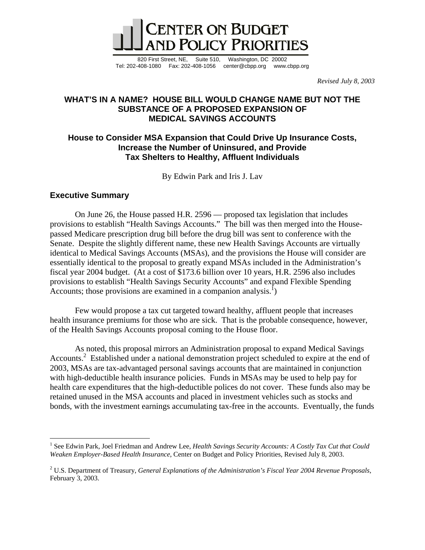

820 First Street, NE, Suite 510, Washington, DC 20002 Tel: 202-408-1080 Fax: 202-408-1056 center@cbpp.org www.cbpp.org

*Revised July 8, 2003* 

# **WHAT'S IN A NAME? HOUSE BILL WOULD CHANGE NAME BUT NOT THE SUBSTANCE OF A PROPOSED EXPANSION OF MEDICAL SAVINGS ACCOUNTS**

# **House to Consider MSA Expansion that Could Drive Up Insurance Costs, Increase the Number of Uninsured, and Provide Tax Shelters to Healthy, Affluent Individuals**

By Edwin Park and Iris J. Lav

## **Executive Summary**

 $\overline{a}$ 

On June 26, the House passed H.R. 2596 — proposed tax legislation that includes provisions to establish "Health Savings Accounts." The bill was then merged into the Housepassed Medicare prescription drug bill before the drug bill was sent to conference with the Senate.Despite the slightly different name, these new Health Savings Accounts are virtually identical to Medical Savings Accounts (MSAs), and the provisions the House will consider are essentially identical to the proposal to greatly expand MSAs included in the Administration's fiscal year 2004 budget. (At a cost of \$173.6 billion over 10 years, H.R. 2596 also includes provisions to establish "Health Savings Security Accounts" and expand Flexible Spending Accounts; those provisions are examined in a companion analysis.<sup>1</sup>)

Few would propose a tax cut targeted toward healthy, affluent people that increases health insurance premiums for those who are sick. That is the probable consequence, however, of the Health Savings Accounts proposal coming to the House floor.

As noted, this proposal mirrors an Administration proposal to expand Medical Savings Accounts.<sup>2</sup> Established under a national demonstration project scheduled to expire at the end of 2003, MSAs are tax-advantaged personal savings accounts that are maintained in conjunction with high-deductible health insurance policies. Funds in MSAs may be used to help pay for health care expenditures that the high-deductible polices do not cover. These funds also may be retained unused in the MSA accounts and placed in investment vehicles such as stocks and bonds, with the investment earnings accumulating tax-free in the accounts. Eventually, the funds

<sup>&</sup>lt;sup>1</sup> See Edwin Park, Joel Friedman and Andrew Lee, *Health Savings Security Accounts: A Costly Tax Cut that Could Weaken Employer-Based Health Insurance*, Center on Budget and Policy Priorities, Revised July 8, 2003.

<sup>2</sup> U.S. Department of Treasury, *General Explanations of the Administration's Fiscal Year 2004 Revenue Proposals*, February 3, 2003.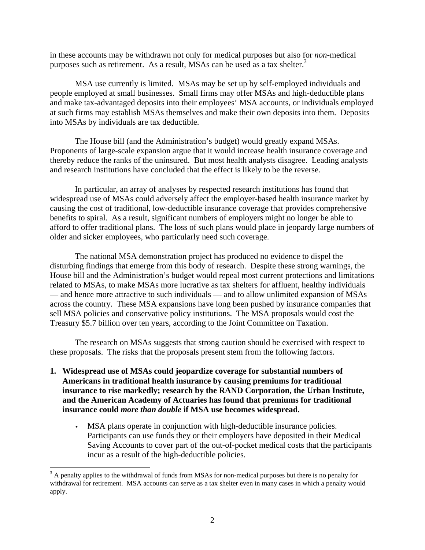in these accounts may be withdrawn not only for medical purposes but also for *non*-medical purposes such as retirement. As a result, MSAs can be used as a tax shelter.<sup>3</sup>

MSA use currently is limited. MSAs may be set up by self-employed individuals and people employed at small businesses. Small firms may offer MSAs and high-deductible plans and make tax-advantaged deposits into their employees' MSA accounts, or individuals employed at such firms may establish MSAs themselves and make their own deposits into them. Deposits into MSAs by individuals are tax deductible.

 The House bill (and the Administration's budget) would greatly expand MSAs. Proponents of large-scale expansion argue that it would increase health insurance coverage and thereby reduce the ranks of the uninsured. But most health analysts disagree. Leading analysts and research institutions have concluded that the effect is likely to be the reverse.

In particular, an array of analyses by respected research institutions has found that widespread use of MSAs could adversely affect the employer-based health insurance market by causing the cost of traditional, low-deductible insurance coverage that provides comprehensive benefits to spiral. As a result, significant numbers of employers might no longer be able to afford to offer traditional plans. The loss of such plans would place in jeopardy large numbers of older and sicker employees, who particularly need such coverage.

The national MSA demonstration project has produced no evidence to dispel the disturbing findings that emerge from this body of research. Despite these strong warnings, the House bill and the Administration's budget would repeal most current protections and limitations related to MSAs, to make MSAs more lucrative as tax shelters for affluent, healthy individuals — and hence more attractive to such individuals — and to allow unlimited expansion of MSAs across the country. These MSA expansions have long been pushed by insurance companies that sell MSA policies and conservative policy institutions. The MSA proposals would cost the Treasury \$5.7 billion over ten years, according to the Joint Committee on Taxation.

The research on MSAs suggests that strong caution should be exercised with respect to these proposals. The risks that the proposals present stem from the following factors.

- **1. Widespread use of MSAs could jeopardize coverage for substantial numbers of Americans in traditional health insurance by causing premiums for traditional insurance to rise markedly; research by the RAND Corporation, the Urban Institute, and the American Academy of Actuaries has found that premiums for traditional insurance could** *more than double* **if MSA use becomes widespread.**
	- MSA plans operate in conjunction with high-deductible insurance policies. Participants can use funds they or their employers have deposited in their Medical Saving Accounts to cover part of the out-of-pocket medical costs that the participants incur as a result of the high-deductible policies.

 $\overline{a}$ 

 $3$  A penalty applies to the withdrawal of funds from MSAs for non-medical purposes but there is no penalty for withdrawal for retirement. MSA accounts can serve as a tax shelter even in many cases in which a penalty would apply.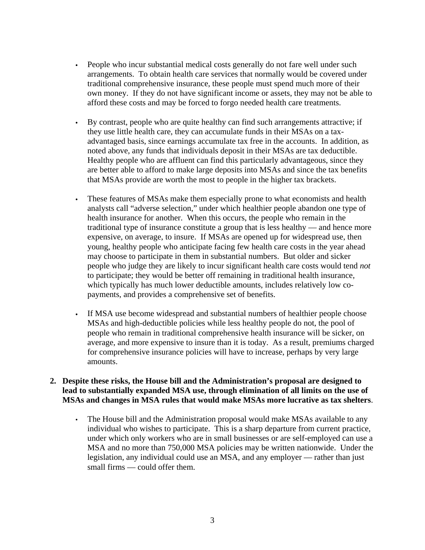- People who incur substantial medical costs generally do not fare well under such arrangements. To obtain health care services that normally would be covered under traditional comprehensive insurance, these people must spend much more of their own money. If they do not have significant income or assets, they may not be able to afford these costs and may be forced to forgo needed health care treatments.
- By contrast, people who are quite healthy can find such arrangements attractive; if they use little health care, they can accumulate funds in their MSAs on a taxadvantaged basis, since earnings accumulate tax free in the accounts. In addition, as noted above, any funds that individuals deposit in their MSAs are tax deductible. Healthy people who are affluent can find this particularly advantageous, since they are better able to afford to make large deposits into MSAs and since the tax benefits that MSAs provide are worth the most to people in the higher tax brackets.
- These features of MSAs make them especially prone to what economists and health analysts call "adverse selection," under which healthier people abandon one type of health insurance for another. When this occurs, the people who remain in the traditional type of insurance constitute a group that is less healthy — and hence more expensive, on average, to insure. If MSAs are opened up for widespread use, then young, healthy people who anticipate facing few health care costs in the year ahead may choose to participate in them in substantial numbers. But older and sicker people who judge they are likely to incur significant health care costs would tend *not* to participate; they would be better off remaining in traditional health insurance, which typically has much lower deductible amounts, includes relatively low copayments, and provides a comprehensive set of benefits.
- If MSA use become widespread and substantial numbers of healthier people choose MSAs and high-deductible policies while less healthy people do not, the pool of people who remain in traditional comprehensive health insurance will be sicker, on average, and more expensive to insure than it is today. As a result, premiums charged for comprehensive insurance policies will have to increase, perhaps by very large amounts.

## **2. Despite these risks, the House bill and the Administration's proposal are designed to lead to substantially expanded MSA use, through elimination of all limits on the use of MSAs and changes in MSA rules that would make MSAs more lucrative as tax shelters**.

• The House bill and the Administration proposal would make MSAs available to any individual who wishes to participate. This is a sharp departure from current practice, under which only workers who are in small businesses or are self-employed can use a MSA and no more than 750,000 MSA policies may be written nationwide. Under the legislation, any individual could use an MSA, and any employer — rather than just small firms — could offer them.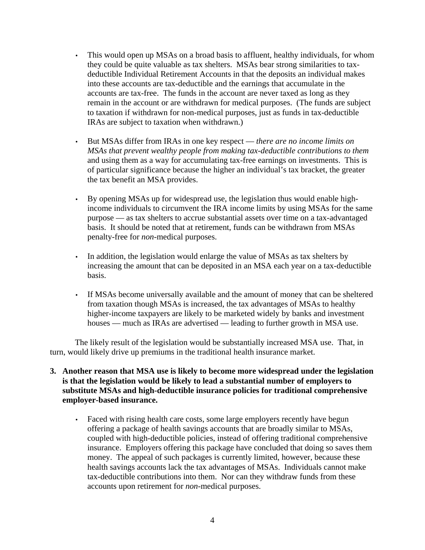- This would open up MSAs on a broad basis to affluent, healthy individuals, for whom they could be quite valuable as tax shelters. MSAs bear strong similarities to taxdeductible Individual Retirement Accounts in that the deposits an individual makes into these accounts are tax-deductible and the earnings that accumulate in the accounts are tax-free. The funds in the account are never taxed as long as they remain in the account or are withdrawn for medical purposes. (The funds are subject to taxation if withdrawn for non-medical purposes, just as funds in tax-deductible IRAs are subject to taxation when withdrawn.)
- But MSAs differ from IRAs in one key respect *there are no income limits on MSAs that prevent wealthy people from making tax-deductible contributions to them* and using them as a way for accumulating tax-free earnings on investments. This is of particular significance because the higher an individual's tax bracket, the greater the tax benefit an MSA provides.
- By opening MSAs up for widespread use, the legislation thus would enable highincome individuals to circumvent the IRA income limits by using MSAs for the same purpose — as tax shelters to accrue substantial assets over time on a tax-advantaged basis. It should be noted that at retirement, funds can be withdrawn from MSAs penalty-free for *non-*medical purposes.
- In addition, the legislation would enlarge the value of MSAs as tax shelters by increasing the amount that can be deposited in an MSA each year on a tax-deductible basis.
- If MSAs become universally available and the amount of money that can be sheltered from taxation though MSAs is increased, the tax advantages of MSAs to healthy higher-income taxpayers are likely to be marketed widely by banks and investment houses — much as IRAs are advertised — leading to further growth in MSA use.

The likely result of the legislation would be substantially increased MSA use. That, in turn, would likely drive up premiums in the traditional health insurance market.

## **3. Another reason that MSA use is likely to become more widespread under the legislation is that the legislation would be likely to lead a substantial number of employers to substitute MSAs and high-deductible insurance policies for traditional comprehensive employer-based insurance.**

• Faced with rising health care costs, some large employers recently have begun offering a package of health savings accounts that are broadly similar to MSAs, coupled with high-deductible policies, instead of offering traditional comprehensive insurance. Employers offering this package have concluded that doing so saves them money. The appeal of such packages is currently limited, however, because these health savings accounts lack the tax advantages of MSAs. Individuals cannot make tax-deductible contributions into them. Nor can they withdraw funds from these accounts upon retirement for *non*-medical purposes.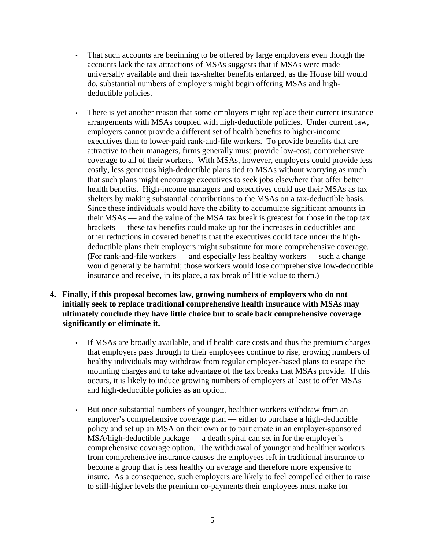- That such accounts are beginning to be offered by large employers even though the accounts lack the tax attractions of MSAs suggests that if MSAs were made universally available and their tax-shelter benefits enlarged, as the House bill would do, substantial numbers of employers might begin offering MSAs and highdeductible policies.
- There is yet another reason that some employers might replace their current insurance arrangements with MSAs coupled with high-deductible policies. Under current law, employers cannot provide a different set of health benefits to higher-income executives than to lower-paid rank-and-file workers. To provide benefits that are attractive to their managers, firms generally must provide low-cost, comprehensive coverage to all of their workers. With MSAs, however, employers could provide less costly, less generous high-deductible plans tied to MSAs without worrying as much that such plans might encourage executives to seek jobs elsewhere that offer better health benefits. High-income managers and executives could use their MSAs as tax shelters by making substantial contributions to the MSAs on a tax-deductible basis. Since these individuals would have the ability to accumulate significant amounts in their MSAs — and the value of the MSA tax break is greatest for those in the top tax brackets — these tax benefits could make up for the increases in deductibles and other reductions in covered benefits that the executives could face under the highdeductible plans their employers might substitute for more comprehensive coverage. (For rank-and-file workers — and especially less healthy workers — such a change would generally be harmful; those workers would lose comprehensive low-deductible insurance and receive, in its place, a tax break of little value to them.)
- **4. Finally, if this proposal becomes law, growing numbers of employers who do not initially seek to replace traditional comprehensive health insurance with MSAs may ultimately conclude they have little choice but to scale back comprehensive coverage significantly or eliminate it.**
	- If MSAs are broadly available, and if health care costs and thus the premium charges that employers pass through to their employees continue to rise, growing numbers of healthy individuals may withdraw from regular employer-based plans to escape the mounting charges and to take advantage of the tax breaks that MSAs provide. If this occurs, it is likely to induce growing numbers of employers at least to offer MSAs and high-deductible policies as an option.
	- But once substantial numbers of younger, healthier workers withdraw from an employer's comprehensive coverage plan — either to purchase a high-deductible policy and set up an MSA on their own or to participate in an employer-sponsored MSA/high-deductible package — a death spiral can set in for the employer's comprehensive coverage option. The withdrawal of younger and healthier workers from comprehensive insurance causes the employees left in traditional insurance to become a group that is less healthy on average and therefore more expensive to insure. As a consequence, such employers are likely to feel compelled either to raise to still-higher levels the premium co-payments their employees must make for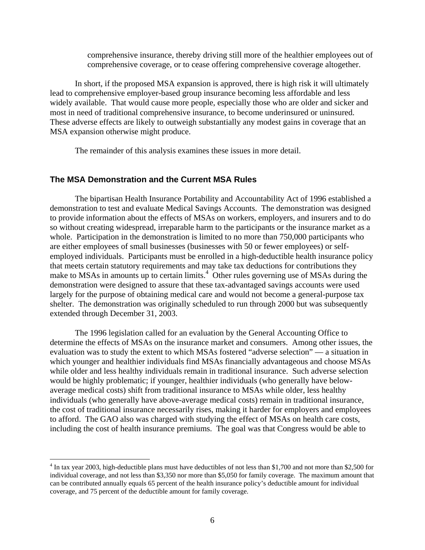comprehensive insurance, thereby driving still more of the healthier employees out of comprehensive coverage, or to cease offering comprehensive coverage altogether.

In short, if the proposed MSA expansion is approved, there is high risk it will ultimately lead to comprehensive employer-based group insurance becoming less affordable and less widely available. That would cause more people, especially those who are older and sicker and most in need of traditional comprehensive insurance, to become underinsured or uninsured. These adverse effects are likely to outweigh substantially any modest gains in coverage that an MSA expansion otherwise might produce.

The remainder of this analysis examines these issues in more detail.

### **The MSA Demonstration and the Current MSA Rules**

 $\overline{a}$ 

The bipartisan Health Insurance Portability and Accountability Act of 1996 established a demonstration to test and evaluate Medical Savings Accounts. The demonstration was designed to provide information about the effects of MSAs on workers, employers, and insurers and to do so without creating widespread, irreparable harm to the participants or the insurance market as a whole. Participation in the demonstration is limited to no more than 750,000 participants who are either employees of small businesses (businesses with 50 or fewer employees) or selfemployed individuals. Participants must be enrolled in a high-deductible health insurance policy that meets certain statutory requirements and may take tax deductions for contributions they make to MSAs in amounts up to certain limits.<sup>4</sup> Other rules governing use of MSAs during the demonstration were designed to assure that these tax-advantaged savings accounts were used largely for the purpose of obtaining medical care and would not become a general-purpose tax shelter. The demonstration was originally scheduled to run through 2000 but was subsequently extended through December 31, 2003.

The 1996 legislation called for an evaluation by the General Accounting Office to determine the effects of MSAs on the insurance market and consumers. Among other issues, the evaluation was to study the extent to which MSAs fostered "adverse selection" — a situation in which younger and healthier individuals find MSAs financially advantageous and choose MSAs while older and less healthy individuals remain in traditional insurance. Such adverse selection would be highly problematic; if younger, healthier individuals (who generally have belowaverage medical costs) shift from traditional insurance to MSAs while older, less healthy individuals (who generally have above-average medical costs) remain in traditional insurance, the cost of traditional insurance necessarily rises, making it harder for employers and employees to afford. The GAO also was charged with studying the effect of MSAs on health care costs, including the cost of health insurance premiums. The goal was that Congress would be able to

 $4 \text{ In tax year } 2003$ , high-deductible plans must have deductibles of not less than \$1,700 and not more than \$2,500 for individual coverage, and not less than \$3,350 nor more than \$5,050 for family coverage. The maximum amount that can be contributed annually equals 65 percent of the health insurance policy's deductible amount for individual coverage, and 75 percent of the deductible amount for family coverage.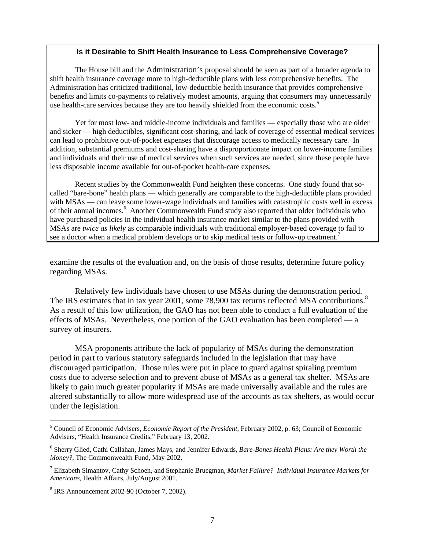#### **Is it Desirable to Shift Health Insurance to Less Comprehensive Coverage?**

The House bill and the Administration's proposal should be seen as part of a broader agenda to shift health insurance coverage more to high-deductible plans with less comprehensive benefits.The Administration has criticized traditional, low-deductible health insurance that provides comprehensive benefits and limits co-payments to relatively modest amounts, arguing that consumers may unnecessarily use health-care services because they are too heavily shielded from the economic costs.<sup>5</sup>

Yet for most low- and middle-income individuals and families — especially those who are older and sicker — high deductibles, significant cost-sharing, and lack of coverage of essential medical services can lead to prohibitive out-of-pocket expenses that discourage access to medically necessary care. In addition, substantial premiums and cost-sharing have a disproportionate impact on lower-income families and individuals and their use of medical services when such services are needed, since these people have less disposable income available for out-of-pocket health-care expenses.

Recent studies by the Commonwealth Fund heighten these concerns. One study found that socalled "bare-bone" health plans — which generally are comparable to the high-deductible plans provided with MSAs — can leave some lower-wage individuals and families with catastrophic costs well in excess of their annual incomes.<sup>6</sup> Another Commonwealth Fund study also reported that older individuals who have purchased policies in the individual health insurance market similar to the plans provided with MSAs are *twice as likely* as comparable individuals with traditional employer-based coverage to fail to see a doctor when a medical problem develops or to skip medical tests or follow-up treatment.<sup>7</sup>

examine the results of the evaluation and, on the basis of those results, determine future policy regarding MSAs.

Relatively few individuals have chosen to use MSAs during the demonstration period. The IRS estimates that in tax year 2001, some 78,900 tax returns reflected MSA contributions.<sup>8</sup> As a result of this low utilization, the GAO has not been able to conduct a full evaluation of the effects of MSAs. Nevertheless, one portion of the GAO evaluation has been completed — a survey of insurers.

MSA proponents attribute the lack of popularity of MSAs during the demonstration period in part to various statutory safeguards included in the legislation that may have discouraged participation. Those rules were put in place to guard against spiraling premium costs due to adverse selection and to prevent abuse of MSAs as a general tax shelter. MSAs are likely to gain much greater popularity if MSAs are made universally available and the rules are altered substantially to allow more widespread use of the accounts as tax shelters, as would occur under the legislation.

1

<sup>5</sup> Council of Economic Advisers, *Economic Report of the President,* February 2002, p. 63; Council of Economic Advisers, "Health Insurance Credits," February 13, 2002.

<sup>6</sup> Sherry Glied, Cathi Callahan, James Mays, and Jennifer Edwards, *Bare-Bones Health Plans: Are they Worth the Money?*, The Commonwealth Fund, May 2002.

<sup>7</sup> Elizabeth Simantov, Cathy Schoen, and Stephanie Bruegman, *Market Failure? Individual Insurance Markets for Americans*, Health Affairs, July/August 2001.

<sup>8</sup> IRS Announcement 2002-90 (October 7, 2002).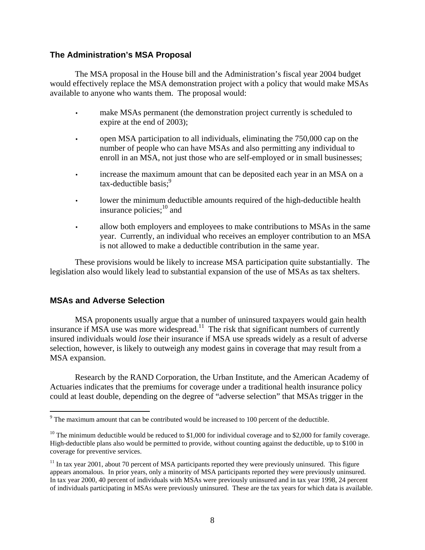## **The Administration's MSA Proposal**

The MSA proposal in the House bill and the Administration's fiscal year 2004 budget would effectively replace the MSA demonstration project with a policy that would make MSAs available to anyone who wants them. The proposal would:

- make MSAs permanent (the demonstration project currently is scheduled to expire at the end of 2003);
- open MSA participation to all individuals, eliminating the 750,000 cap on the number of people who can have MSAs and also permitting any individual to enroll in an MSA, not just those who are self-employed or in small businesses;
- increase the maximum amount that can be deposited each year in an MSA on a tax-deductible basis;<sup>9</sup>
- lower the minimum deductible amounts required of the high-deductible health insurance policies; $^{10}$  and
- allow both employers and employees to make contributions to MSAs in the same year. Currently, an individual who receives an employer contribution to an MSA is not allowed to make a deductible contribution in the same year.

These provisions would be likely to increase MSA participation quite substantially. The legislation also would likely lead to substantial expansion of the use of MSAs as tax shelters.

# **MSAs and Adverse Selection**

MSA proponents usually argue that a number of uninsured taxpayers would gain health insurance if  $\overline{MSA}$  use was more widespread.<sup>11</sup> The risk that significant numbers of currently insured individuals would *lose* their insurance if MSA use spreads widely as a result of adverse selection, however, is likely to outweigh any modest gains in coverage that may result from a MSA expansion.

 Research by the RAND Corporation, the Urban Institute, and the American Academy of Actuaries indicates that the premiums for coverage under a traditional health insurance policy could at least double, depending on the degree of "adverse selection" that MSAs trigger in the

<sup>&</sup>lt;sup>9</sup> The maximum amount that can be contributed would be increased to 100 percent of the deductible.

<sup>&</sup>lt;sup>10</sup> The minimum deductible would be reduced to \$1,000 for individual coverage and to \$2,000 for family coverage. High-deductible plans also would be permitted to provide, without counting against the deductible, up to \$100 in coverage for preventive services.

<sup>&</sup>lt;sup>11</sup> In tax year 2001, about 70 percent of MSA participants reported they were previously uninsured. This figure appears anomalous. In prior years, only a minority of MSA participants reported they were previously uninsured. In tax year 2000, 40 percent of individuals with MSAs were previously uninsured and in tax year 1998, 24 percent of individuals participating in MSAs were previously uninsured. These are the tax years for which data is available.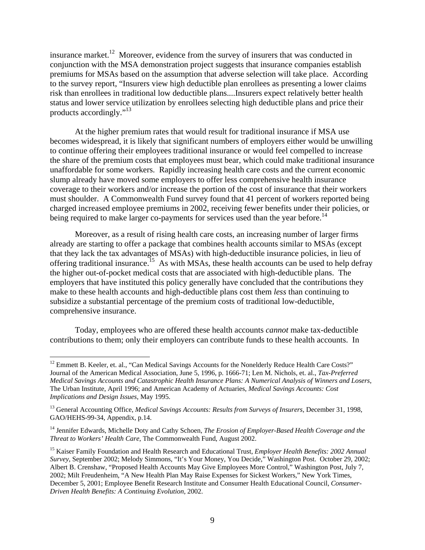insurance market.<sup>12</sup> Moreover, evidence from the survey of insurers that was conducted in conjunction with the MSA demonstration project suggests that insurance companies establish premiums for MSAs based on the assumption that adverse selection will take place. According to the survey report, "Insurers view high deductible plan enrollees as presenting a lower claims risk than enrollees in traditional low deductible plans....Insurers expect relatively better health status and lower service utilization by enrollees selecting high deductible plans and price their products accordingly."<sup>13</sup>

At the higher premium rates that would result for traditional insurance if MSA use becomes widespread, it is likely that significant numbers of employers either would be unwilling to continue offering their employees traditional insurance or would feel compelled to increase the share of the premium costs that employees must bear, which could make traditional insurance unaffordable for some workers. Rapidly increasing health care costs and the current economic slump already have moved some employers to offer less comprehensive health insurance coverage to their workers and/or increase the portion of the cost of insurance that their workers must shoulder. A Commonwealth Fund survey found that 41 percent of workers reported being charged increased employee premiums in 2002, receiving fewer benefits under their policies, or being required to make larger co-payments for services used than the year before.<sup>14</sup>

Moreover, as a result of rising health care costs, an increasing number of larger firms already are starting to offer a package that combines health accounts similar to MSAs (except that they lack the tax advantages of MSAs) with high-deductible insurance policies, in lieu of offering traditional insurance.<sup>15</sup> As with MSAs, these health accounts can be used to help defray the higher out-of-pocket medical costs that are associated with high-deductible plans. The employers that have instituted this policy generally have concluded that the contributions they make to these health accounts and high-deductible plans cost them *less* than continuing to subsidize a substantial percentage of the premium costs of traditional low-deductible, comprehensive insurance.

Today, employees who are offered these health accounts *cannot* make tax-deductible contributions to them; only their employers can contribute funds to these health accounts. In

1

 $12$  Emmett B. Keeler, et. al., "Can Medical Savings Accounts for the Nonelderly Reduce Health Care Costs?" Journal of the American Medical Association*,* June 5, 1996, p. 1666-71; Len M. Nichols, et. al., *Tax-Preferred Medical Savings Accounts and Catastrophic Health Insurance Plans: A Numerical Analysis of Winners and Losers*, The Urban Institute, April 1996; and American Academy of Actuaries, *Medical Savings Accounts: Cost Implications and Design Issues*, May 1995.

<sup>13</sup> General Accounting Office, *Medical Savings Accounts: Results from Surveys of Insurers*, December 31, 1998, GAO/HEHS-99-34, Appendix, p.14.

<sup>&</sup>lt;sup>14</sup> Jennifer Edwards, Michelle Doty and Cathy Schoen, *The Erosion of Employer-Based Health Coverage and the Threat to Workers' Health Care*, The Commonwealth Fund, August 2002.

<sup>15</sup> Kaiser Family Foundation and Health Research and Educational Trust, *Employer Health Benefits: 2002 Annual Survey*, September 2002; Melody Simmons, "It's Your Money, You Decide," Washington Post. October 29, 2002; Albert B. Crenshaw, "Proposed Health Accounts May Give Employees More Control," Washington Post, July 7, 2002; Milt Freudenheim, "A New Health Plan May Raise Expenses for Sickest Workers," New York Times, December 5, 2001; Employee Benefit Research Institute and Consumer Health Educational Council, *Consumer-Driven Health Benefits: A Continuing Evolution*, 2002.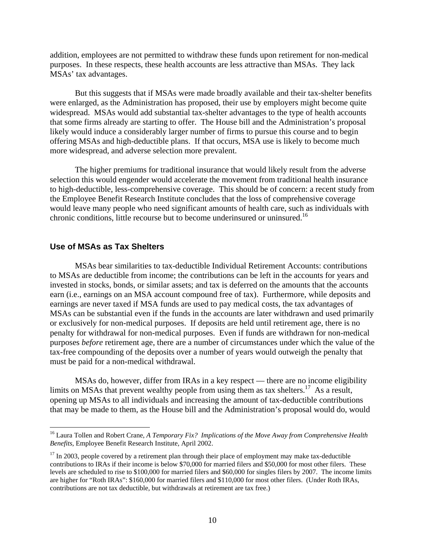addition, employees are not permitted to withdraw these funds upon retirement for non-medical purposes. In these respects, these health accounts are less attractive than MSAs. They lack MSAs' tax advantages.

But this suggests that if MSAs were made broadly available and their tax-shelter benefits were enlarged, as the Administration has proposed, their use by employers might become quite widespread. MSAs would add substantial tax-shelter advantages to the type of health accounts that some firms already are starting to offer. The House bill and the Administration's proposal likely would induce a considerably larger number of firms to pursue this course and to begin offering MSAs and high-deductible plans. If that occurs, MSA use is likely to become much more widespread, and adverse selection more prevalent.

The higher premiums for traditional insurance that would likely result from the adverse selection this would engender would accelerate the movement from traditional health insurance to high-deductible, less-comprehensive coverage. This should be of concern: a recent study from the Employee Benefit Research Institute concludes that the loss of comprehensive coverage would leave many people who need significant amounts of health care, such as individuals with chronic conditions, little recourse but to become underinsured or uninsured.<sup>16</sup>

### **Use of MSAs as Tax Shelters**

 $\overline{a}$ 

 MSAs bear similarities to tax-deductible Individual Retirement Accounts: contributions to MSAs are deductible from income; the contributions can be left in the accounts for years and invested in stocks, bonds, or similar assets; and tax is deferred on the amounts that the accounts earn (i.e., earnings on an MSA account compound free of tax). Furthermore, while deposits and earnings are never taxed if MSA funds are used to pay medical costs, the tax advantages of MSAs can be substantial even if the funds in the accounts are later withdrawn and used primarily or exclusively for non-medical purposes. If deposits are held until retirement age, there is no penalty for withdrawal for non-medical purposes. Even if funds are withdrawn for non-medical purposes *before* retirement age, there are a number of circumstances under which the value of the tax-free compounding of the deposits over a number of years would outweigh the penalty that must be paid for a non-medical withdrawal.

 MSAs do, however, differ from IRAs in a key respect — there are no income eligibility limits on MSAs that prevent wealthy people from using them as tax shelters.<sup>17</sup> As a result, opening up MSAs to all individuals and increasing the amount of tax-deductible contributions that may be made to them, as the House bill and the Administration's proposal would do, would

<sup>16</sup> Laura Tollen and Robert Crane, *A Temporary Fix? Implications of the Move Away from Comprehensive Health Benefits*, Employee Benefit Research Institute, April 2002.

 $17$  In 2003, people covered by a retirement plan through their place of employment may make tax-deductible contributions to IRAs if their income is below \$70,000 for married filers and \$50,000 for most other filers. These levels are scheduled to rise to \$100,000 for married filers and \$60,000 for singles filers by 2007. The income limits are higher for "Roth IRAs": \$160,000 for married filers and \$110,000 for most other filers. (Under Roth IRAs, contributions are not tax deductible, but withdrawals at retirement are tax free.)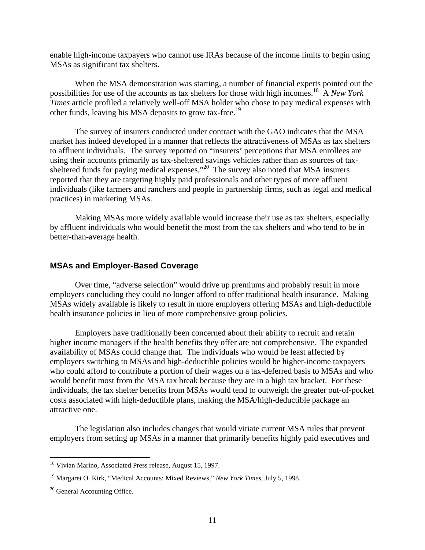enable high-income taxpayers who cannot use IRAs because of the income limits to begin using MSAs as significant tax shelters.

 When the MSA demonstration was starting, a number of financial experts pointed out the possibilities for use of the accounts as tax shelters for those with high incomes.18 A *New York Times* article profiled a relatively well-off MSA holder who chose to pay medical expenses with other funds, leaving his MSA deposits to grow tax-free.<sup>19</sup>

 The survey of insurers conducted under contract with the GAO indicates that the MSA market has indeed developed in a manner that reflects the attractiveness of MSAs as tax shelters to affluent individuals. The survey reported on "insurers' perceptions that MSA enrollees are using their accounts primarily as tax-sheltered savings vehicles rather than as sources of taxsheltered funds for paying medical expenses."<sup>20</sup> The survey also noted that MSA insurers reported that they are targeting highly paid professionals and other types of more affluent individuals (like farmers and ranchers and people in partnership firms, such as legal and medical practices) in marketing MSAs.

 Making MSAs more widely available would increase their use as tax shelters, especially by affluent individuals who would benefit the most from the tax shelters and who tend to be in better-than-average health.

#### **MSAs and Employer-Based Coverage**

 Over time, "adverse selection" would drive up premiums and probably result in more employers concluding they could no longer afford to offer traditional health insurance. Making MSAs widely available is likely to result in more employers offering MSAs and high-deductible health insurance policies in lieu of more comprehensive group policies.

 Employers have traditionally been concerned about their ability to recruit and retain higher income managers if the health benefits they offer are not comprehensive. The expanded availability of MSAs could change that. The individuals who would be least affected by employers switching to MSAs and high-deductible policies would be higher-income taxpayers who could afford to contribute a portion of their wages on a tax-deferred basis to MSAs and who would benefit most from the MSA tax break because they are in a high tax bracket. For these individuals, the tax shelter benefits from MSAs would tend to outweigh the greater out-of-pocket costs associated with high-deductible plans, making the MSA/high-deductible package an attractive one.

 The legislation also includes changes that would vitiate current MSA rules that prevent employers from setting up MSAs in a manner that primarily benefits highly paid executives and

 $\overline{a}$ 

<sup>&</sup>lt;sup>18</sup> Vivian Marino, Associated Press release, August 15, 1997.

<sup>19</sup> Margaret O. Kirk, "Medical Accounts: Mixed Reviews," *New York Times*, July 5, 1998.

<sup>&</sup>lt;sup>20</sup> General Accounting Office.